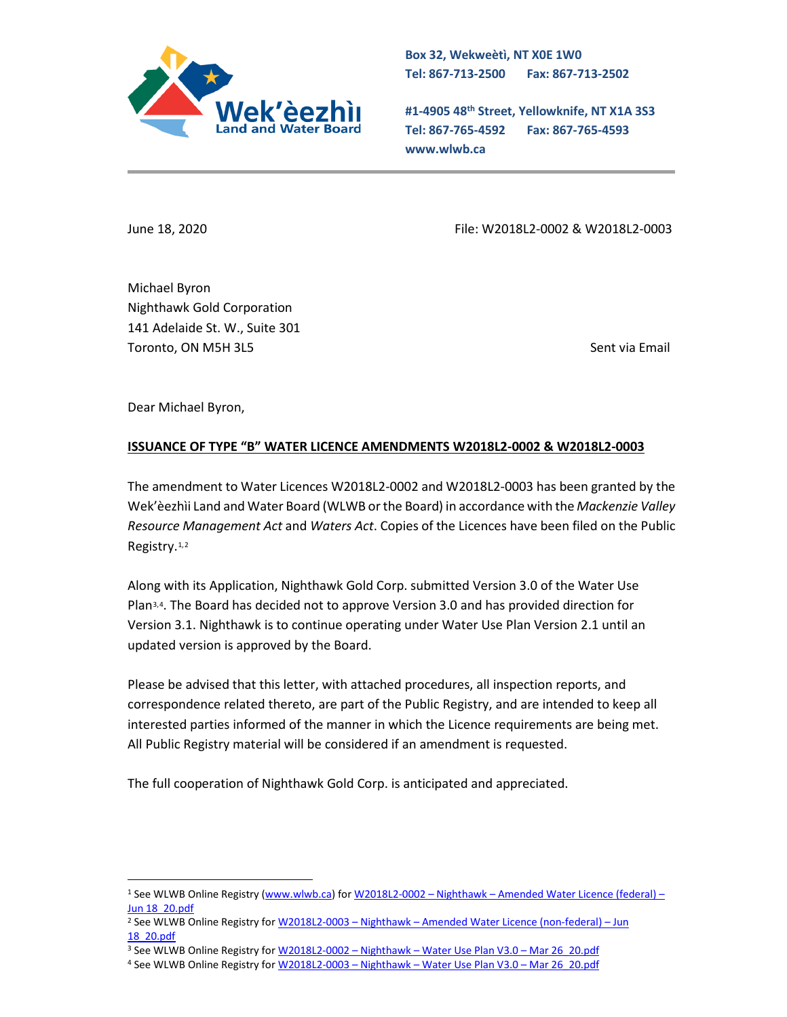

**Box 32, Wekweètì, NT X0E 1W0 Tel: 867-713-2500 Fax: 867-713-2502** 

**#1-4905 48th Street, Yellowknife, NT X1A 3S3 Tel: 867-765-4592 Fax: 867-765-4593 www.wlwb.ca**

June 18, 2020 File: W2018L2-0002 & W2018L2-0003

Michael Byron Nighthawk Gold Corporation 141 Adelaide St. W., Suite 301 Toronto, ON M5H 3L5 Sent via Email

Dear Michael Byron,

## **ISSUANCE OF TYPE "B" WATER LICENCE AMENDMENTS W2018L2-0002 & W2018L2-0003**

The amendment to Water Licences W2018L2-0002 and W2018L2-0003 has been granted by the Wek'èezhìi Land and Water Board (WLWB or the Board) in accordance with the *Mackenzie Valley Resource Management Act* and *Waters Act*. Copies of the Licences have been filed on the Public Registry.<sup>[1,](#page-0-0)[2](#page-0-1)</sup>

Along with its Application, Nighthawk Gold Corp. submitted Version 3.0 of the Water Use Plan[3](#page-0-2),[4](#page-0-3). The Board has decided not to approve Version 3.0 and has provided direction for Version 3.1. Nighthawk is to continue operating under Water Use Plan Version 2.1 until an updated version is approved by the Board.

Please be advised that this letter, with attached procedures, all inspection reports, and correspondence related thereto, are part of the Public Registry, and are intended to keep all interested parties informed of the manner in which the Licence requirements are being met. All Public Registry material will be considered if an amendment is requested.

The full cooperation of Nighthawk Gold Corp. is anticipated and appreciated.

<span id="page-0-0"></span><sup>1</sup> See WLWB Online Registry [\(www.wlwb.ca\)](http://www.wlwb.ca/) for W2018L2-0002 – Nighthawk – [Amended Water Licence \(federal\) –](http://registry.mvlwb.ca/Documents/W2018L2-0002/W2018L2-0002%20-%20Nighthawk%20-%20Amended%20Water%20Licence%20(federal).pdf) [Jun 18\\_20.pdf](http://registry.mvlwb.ca/Documents/W2018L2-0002/W2018L2-0002%20-%20Nighthawk%20-%20Amended%20Water%20Licence%20(federal).pdf)

<span id="page-0-1"></span><sup>2</sup> See WLWB Online Registry for W2018L2-0003 – Nighthawk – [Amended Water Licence \(non-federal\) –](http://registry.mvlwb.ca/Documents/W2018L2-0003/W2018L2-0003%20-%20Nighthawk%20-%20Amended%20Water%20Licence%20(non-federal).pdf) Jun [18\\_20.pdf](http://registry.mvlwb.ca/Documents/W2018L2-0003/W2018L2-0003%20-%20Nighthawk%20-%20Amended%20Water%20Licence%20(non-federal).pdf)

<span id="page-0-2"></span><sup>&</sup>lt;sup>3</sup> See WLWB Online Registry for W2018L2-0002 - Nighthawk - Water Use Plan V3.0 - Mar 26 20.pdf

<span id="page-0-3"></span><sup>4</sup> See WLWB Online Registry for W2018L2-0003 - Nighthawk - Water Use Plan V3.0 - Mar 26 20.pdf